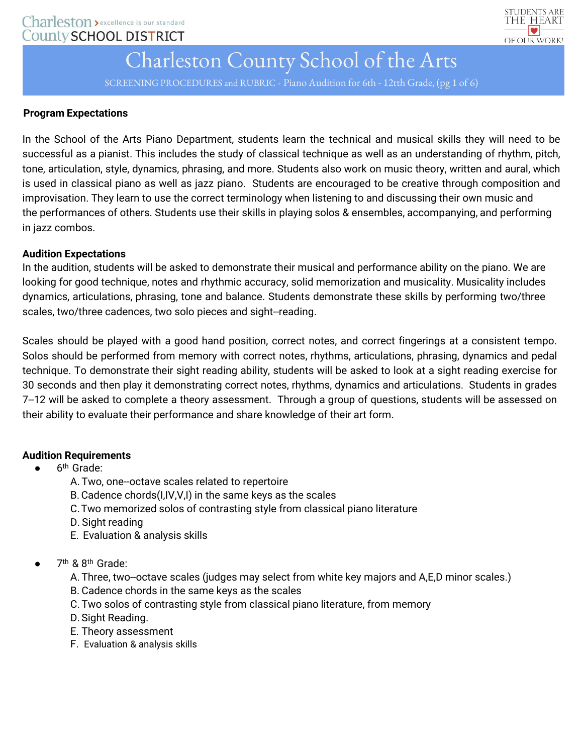

SCREENING PROCEDURES and RUBRIC - Piano Audition for 6th - 12tth Grade, (pg 1 of 6)

## **Program Expectations**

In the School of the Arts Piano Department, students learn the technical and musical skills they will need to be successful as a pianist. This includes the study of classical technique as well as an understanding of rhythm, pitch, tone, articulation, style, dynamics, phrasing, and more. Students also work on music theory, written and aural, which is used in classical piano as well as jazz piano. Students are encouraged to be creative through composition and improvisation. They learn to use the correct terminology when listening to and discussing their own music and the performances of others. Students use their skills in playing solos & ensembles, accompanying, and performing in jazz combos.

### **Audition Expectations**

In the audition, students will be asked to demonstrate their musical and performance ability on the piano. We are looking for good technique, notes and rhythmic accuracy, solid memorization and musicality. Musicality includes dynamics, articulations, phrasing, tone and balance. Students demonstrate these skills by performing two/three scales, two/three cadences, two solo pieces and sight--reading.

Scales should be played with a good hand position, correct notes, and correct fingerings at a consistent tempo. Solos should be performed from memory with correct notes, rhythms, articulations, phrasing, dynamics and pedal technique. To demonstrate their sight reading ability, students will be asked to look at a sight reading exercise for 30 seconds and then play it demonstrating correct notes, rhythms, dynamics and articulations. Students in grades 7-12 will be asked to complete a theory assessment. Through a group of questions, students will be assessed on their ability to evaluate their performance and share knowledge of their art form.

## **Audition Requirements**

- $\bullet$  6<sup>th</sup> Grade:
	- A. Two, one--octave scales related to repertoire
	- B.Cadence chords(I,IV,V,I) in the same keys as the scales
	- C.Two memorized solos of contrasting style from classical piano literature
	- D. Sight reading
	- E. Evaluation & analysis skills
- $\bullet$  7<sup>th</sup> & 8<sup>th</sup> Grade:
	- A. Three, two--octave scales (judges may select from white key majors and A,E,D minor scales.)
	- B. Cadence chords in the same keys as the scales
	- C. Two solos of contrasting style from classical piano literature, from memory
	- D. Sight Reading.
	- E. Theory assessment
	- F. Evaluation & analysis skills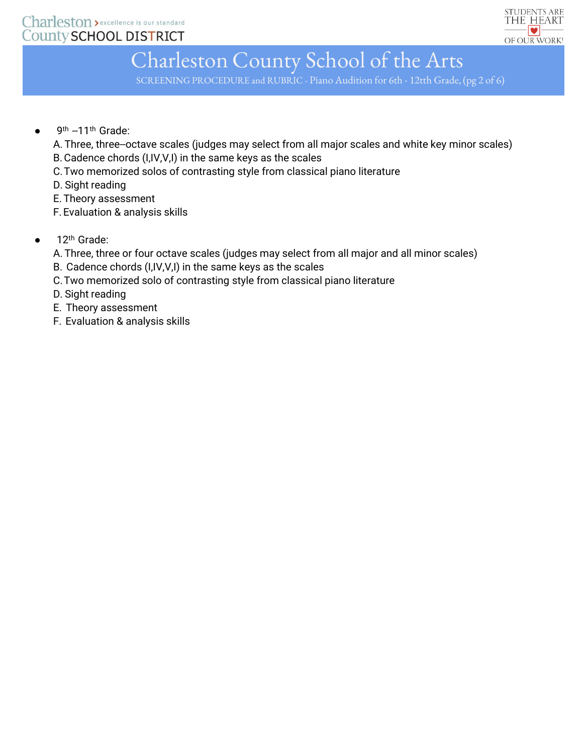

SCREENING PROCEDURE and RUBRIC - Piano Audition for 6th - 12tth Grade, (pg 2 of 6)

 $\bullet$  9<sup>th</sup> --11<sup>th</sup> Grade:

A. Three, three-octave scales (judges may select from all major scales and white key minor scales) B.Cadence chords (I,IV,V,I) in the same keys as the scales

C.Two memorized solos of contrasting style from classical piano literature

D. Sight reading

E. Theory assessment

- F.Evaluation & analysis skills
- $\bullet$  12<sup>th</sup> Grade:
	- A. Three, three or four octave scales (judges may select from all major and all minor scales)
	- B. Cadence chords (I,IV,V,I) in the same keys as the scales
	- C.Two memorized solo of contrasting style from classical piano literature
	- D. Sight reading
	- E. Theory assessment
	- F. Evaluation & analysis skills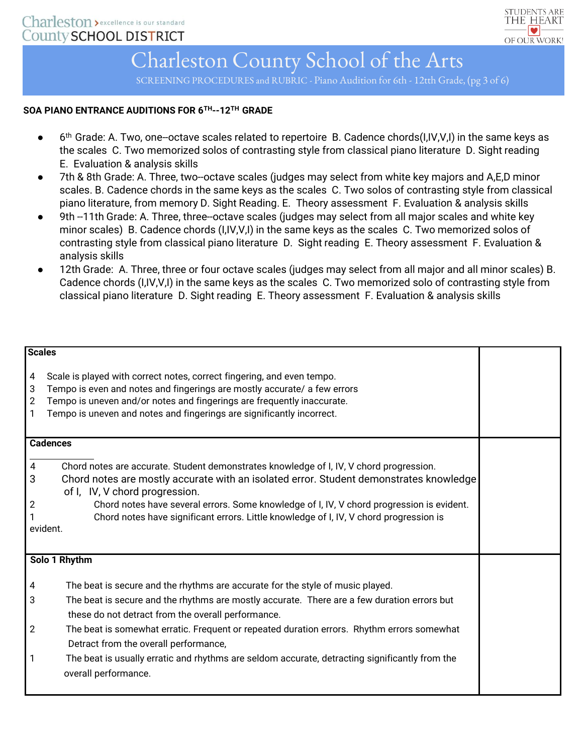

SCREENING PROCEDURES and RUBRIC - Piano Audition for 6th - 12tth Grade, (pg 3 of 6)

#### **SOA PIANO ENTRANCE AUDITIONS FOR 6TH-‐12TH GRADE**

- 6<sup>th</sup> Grade: A. Two, one-octave scales related to repertoire B. Cadence chords(I,IV,V,I) in the same keys as the scales C. Two memorized solos of contrasting style from classical piano literature D. Sight reading E. Evaluation & analysis skills
- 7th & 8th Grade: A. Three, two--octave scales (judges may select from white key majors and A,E,D minor scales. B. Cadence chords in the same keys as the scales C. Two solos of contrasting style from classical piano literature, from memory D. Sight Reading. E. Theory assessment F. Evaluation & analysis skills
- 9th --11th Grade: A. Three, three--octave scales (judges may select from all major scales and white key minor scales) B. Cadence chords (I,IV,V,I) in the same keys as the scales C. Two memorized solos of contrasting style from classical piano literature D. Sight reading E. Theory assessment F. Evaluation & analysis skills
- 12th Grade: A. Three, three or four octave scales (judges may select from all major and all minor scales) B. Cadence chords (I,IV,V,I) in the same keys as the scales C. Two memorized solo of contrasting style from classical piano literature D. Sight reading E. Theory assessment F. Evaluation & analysis skills

| <b>Scales</b>                        |                                                                                                                                                                                                                                                                                                                                                                                                                                                                                                      |  |  |
|--------------------------------------|------------------------------------------------------------------------------------------------------------------------------------------------------------------------------------------------------------------------------------------------------------------------------------------------------------------------------------------------------------------------------------------------------------------------------------------------------------------------------------------------------|--|--|
| 4<br>3<br>2<br>$\mathbf{1}$          | Scale is played with correct notes, correct fingering, and even tempo.<br>Tempo is even and notes and fingerings are mostly accurate/ a few errors<br>Tempo is uneven and/or notes and fingerings are frequently inaccurate.<br>Tempo is uneven and notes and fingerings are significantly incorrect.                                                                                                                                                                                                |  |  |
| <b>Cadences</b>                      |                                                                                                                                                                                                                                                                                                                                                                                                                                                                                                      |  |  |
| 4<br>3<br>$\overline{c}$<br>evident. | Chord notes are accurate. Student demonstrates knowledge of I, IV, V chord progression.<br>Chord notes are mostly accurate with an isolated error. Student demonstrates knowledge<br>of I, IV, V chord progression.<br>Chord notes have several errors. Some knowledge of I, IV, V chord progression is evident.<br>Chord notes have significant errors. Little knowledge of I, IV, V chord progression is                                                                                           |  |  |
| Solo 1 Rhythm                        |                                                                                                                                                                                                                                                                                                                                                                                                                                                                                                      |  |  |
| 4<br>3<br>2<br>1                     | The beat is secure and the rhythms are accurate for the style of music played.<br>The beat is secure and the rhythms are mostly accurate. There are a few duration errors but<br>these do not detract from the overall performance.<br>The beat is somewhat erratic. Frequent or repeated duration errors. Rhythm errors somewhat<br>Detract from the overall performance,<br>The beat is usually erratic and rhythms are seldom accurate, detracting significantly from the<br>overall performance. |  |  |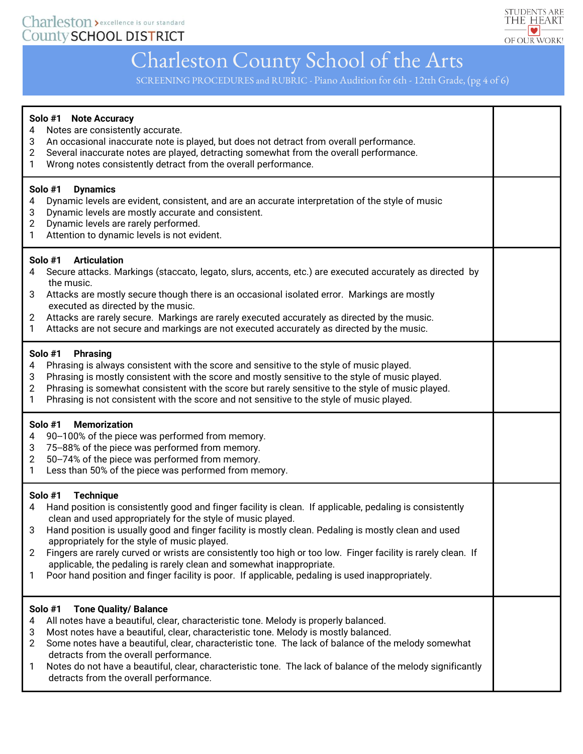

SCREENING PROCEDURES and RUBRIC - Piano Audition for 6th - 12tth Grade, (pg 4 of 6)

| Solo #1 Note Accuracy<br>Notes are consistently accurate.<br>4<br>3<br>An occasional inaccurate note is played, but does not detract from overall performance.<br>Several inaccurate notes are played, detracting somewhat from the overall performance.<br>2<br>Wrong notes consistently detract from the overall performance.<br>1                                                                                                                                                                                                                                                                                                                                  |  |
|-----------------------------------------------------------------------------------------------------------------------------------------------------------------------------------------------------------------------------------------------------------------------------------------------------------------------------------------------------------------------------------------------------------------------------------------------------------------------------------------------------------------------------------------------------------------------------------------------------------------------------------------------------------------------|--|
| Solo #1<br><b>Dynamics</b><br>Dynamic levels are evident, consistent, and are an accurate interpretation of the style of music<br>4<br>Dynamic levels are mostly accurate and consistent.<br>3<br>Dynamic levels are rarely performed.<br>$\overline{2}$<br>Attention to dynamic levels is not evident.<br>1                                                                                                                                                                                                                                                                                                                                                          |  |
| <b>Articulation</b><br>Solo #1<br>Secure attacks. Markings (staccato, legato, slurs, accents, etc.) are executed accurately as directed by<br>4<br>the music.<br>Attacks are mostly secure though there is an occasional isolated error. Markings are mostly<br>3<br>executed as directed by the music.<br>Attacks are rarely secure. Markings are rarely executed accurately as directed by the music.<br>$\overline{2}$<br>Attacks are not secure and markings are not executed accurately as directed by the music.<br>$\mathbf{1}$                                                                                                                                |  |
| Solo #1<br><b>Phrasing</b><br>Phrasing is always consistent with the score and sensitive to the style of music played.<br>4<br>Phrasing is mostly consistent with the score and mostly sensitive to the style of music played.<br>3<br>Phrasing is somewhat consistent with the score but rarely sensitive to the style of music played.<br>$\overline{2}$<br>Phrasing is not consistent with the score and not sensitive to the style of music played.<br>1                                                                                                                                                                                                          |  |
| Solo #1<br><b>Memorization</b><br>90--100% of the piece was performed from memory.<br>4<br>75-88% of the piece was performed from memory.<br>3<br>50--74% of the piece was performed from memory.<br>2<br>Less than 50% of the piece was performed from memory.<br>1                                                                                                                                                                                                                                                                                                                                                                                                  |  |
| Solo #1 Technique<br>Hand position is consistently good and finger facility is clean. If applicable, pedaling is consistently<br>4<br>clean and used appropriately for the style of music played.<br>Hand position is usually good and finger facility is mostly clean. Pedaling is mostly clean and used<br>3<br>appropriately for the style of music played.<br>Fingers are rarely curved or wrists are consistently too high or too low. Finger facility is rarely clean. If<br>2<br>applicable, the pedaling is rarely clean and somewhat inappropriate.<br>Poor hand position and finger facility is poor. If applicable, pedaling is used inappropriately.<br>1 |  |
| Solo #1<br><b>Tone Quality/ Balance</b><br>All notes have a beautiful, clear, characteristic tone. Melody is properly balanced.<br>4<br>Most notes have a beautiful, clear, characteristic tone. Melody is mostly balanced.<br>3<br>Some notes have a beautiful, clear, characteristic tone. The lack of balance of the melody somewhat<br>2<br>detracts from the overall performance.<br>Notes do not have a beautiful, clear, characteristic tone. The lack of balance of the melody significantly<br>1<br>detracts from the overall performance.                                                                                                                   |  |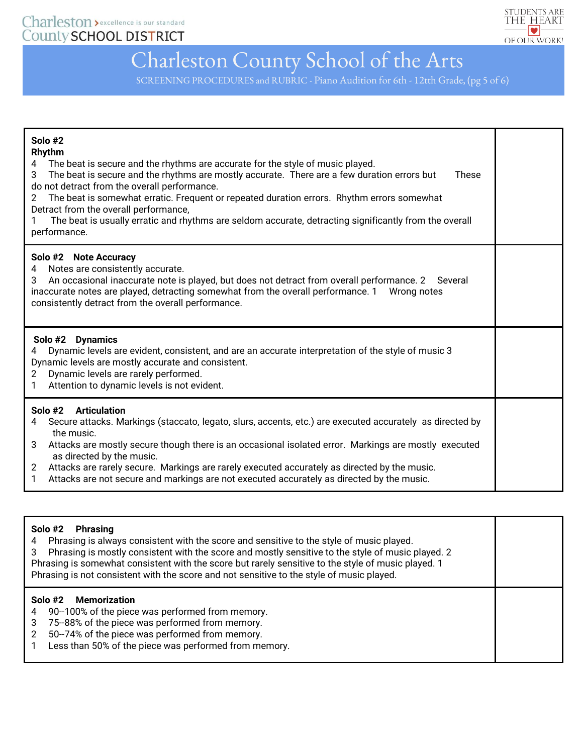

SCREENING PROCEDURES and RUBRIC - Piano Audition for 6th - 12tth Grade, (pg 5 of 6)

| Solo #2<br>Rhythm<br>The beat is secure and the rhythms are accurate for the style of music played.<br>4<br>The beat is secure and the rhythms are mostly accurate. There are a few duration errors but<br>3<br><b>These</b><br>do not detract from the overall performance.<br>The beat is somewhat erratic. Frequent or repeated duration errors. Rhythm errors somewhat<br>2<br>Detract from the overall performance,<br>The beat is usually erratic and rhythms are seldom accurate, detracting significantly from the overall<br>performance. |  |
|----------------------------------------------------------------------------------------------------------------------------------------------------------------------------------------------------------------------------------------------------------------------------------------------------------------------------------------------------------------------------------------------------------------------------------------------------------------------------------------------------------------------------------------------------|--|
| Solo #2 Note Accuracy<br>Notes are consistently accurate.<br>An occasional inaccurate note is played, but does not detract from overall performance. 2 Several<br>3<br>inaccurate notes are played, detracting somewhat from the overall performance. 1    Wrong notes<br>consistently detract from the overall performance.                                                                                                                                                                                                                       |  |
| Solo #2 Dynamics<br>Dynamic levels are evident, consistent, and are an accurate interpretation of the style of music 3<br>Dynamic levels are mostly accurate and consistent.<br>Dynamic levels are rarely performed.<br>$\mathbf{2}^{\circ}$<br>Attention to dynamic levels is not evident.<br>1                                                                                                                                                                                                                                                   |  |
| Solo #2<br><b>Articulation</b><br>Secure attacks. Markings (staccato, legato, slurs, accents, etc.) are executed accurately as directed by<br>4<br>the music.<br>Attacks are mostly secure though there is an occasional isolated error. Markings are mostly executed<br>3<br>as directed by the music.<br>Attacks are rarely secure. Markings are rarely executed accurately as directed by the music.<br>$\mathbf{2}$<br>Attacks are not secure and markings are not executed accurately as directed by the music.<br>$\mathbf{1}$               |  |

#### **Solo #2 Phrasing**

4 Phrasing is always consistent with the score and sensitive to the style of music played. 3 Phrasing is mostly consistent with the score and mostly sensitive to the style of music played. 2 Phrasing is somewhat consistent with the score but rarely sensitive to the style of music played. 1 Phrasing is not consistent with the score and not sensitive to the style of music played.

#### **Solo #2 Memorization**

- 4 90--100% of the piece was performed from memory.
- 3 75-‐88% of the piece was performed from memory.
- 2 50--74% of the piece was performed from memory.
- 1 Less than 50% of the piece was performed from memory.